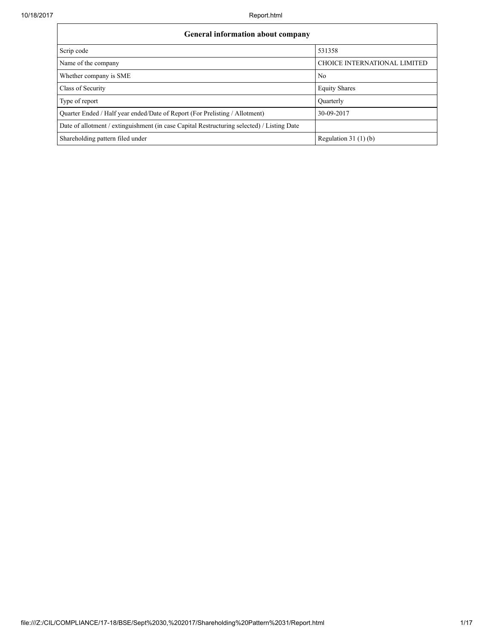| <b>General information about company</b>                                                   |                              |  |  |  |  |  |  |  |
|--------------------------------------------------------------------------------------------|------------------------------|--|--|--|--|--|--|--|
| Scrip code                                                                                 | 531358                       |  |  |  |  |  |  |  |
| Name of the company                                                                        | CHOICE INTERNATIONAL LIMITED |  |  |  |  |  |  |  |
| Whether company is SME                                                                     | N <sub>0</sub>               |  |  |  |  |  |  |  |
| Class of Security                                                                          | <b>Equity Shares</b>         |  |  |  |  |  |  |  |
| Type of report                                                                             | Ouarterly                    |  |  |  |  |  |  |  |
| Quarter Ended / Half year ended/Date of Report (For Prelisting / Allotment)                | 30-09-2017                   |  |  |  |  |  |  |  |
| Date of allotment / extinguishment (in case Capital Restructuring selected) / Listing Date |                              |  |  |  |  |  |  |  |
| Shareholding pattern filed under                                                           | Regulation $31(1)(b)$        |  |  |  |  |  |  |  |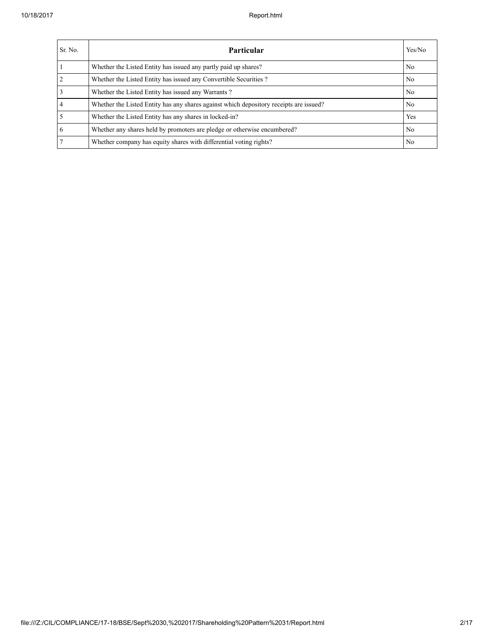| Sr. No. | <b>Particular</b>                                                                      | Yes/No         |
|---------|----------------------------------------------------------------------------------------|----------------|
|         | Whether the Listed Entity has issued any partly paid up shares?                        | No             |
|         | Whether the Listed Entity has issued any Convertible Securities?                       | N <sub>0</sub> |
|         | Whether the Listed Entity has issued any Warrants?                                     | N <sub>0</sub> |
| 4       | Whether the Listed Entity has any shares against which depository receipts are issued? | No             |
|         | Whether the Listed Entity has any shares in locked-in?                                 | Yes            |
| 6       | Whether any shares held by promoters are pledge or otherwise encumbered?               | No.            |
|         | Whether company has equity shares with differential voting rights?                     | No             |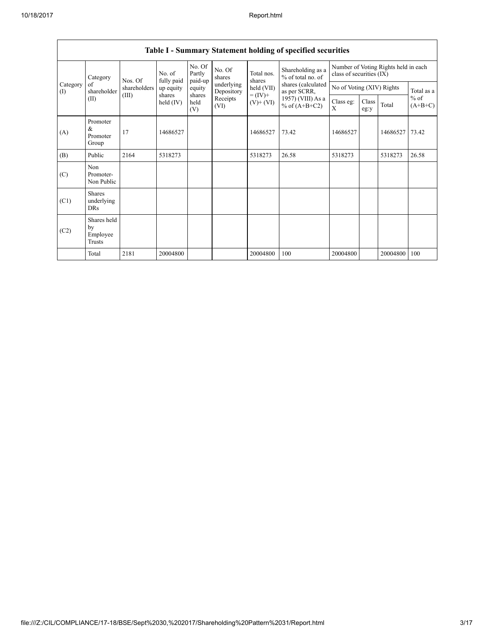|                 | Table 1 – Bunning y Blatement holding of specified securities |              |                                                                                                                     |                             |                           |                      |                                                                              |                           |  |                                      |            |
|-----------------|---------------------------------------------------------------|--------------|---------------------------------------------------------------------------------------------------------------------|-----------------------------|---------------------------|----------------------|------------------------------------------------------------------------------|---------------------------|--|--------------------------------------|------------|
|                 | Category                                                      | Nos. Of      | No. of                                                                                                              | No. Of<br>Partly<br>paid-up | No. Of<br>shares          | Total nos.<br>shares | Shareholding as a<br>% of total no. of<br>shares (calculated<br>as per SCRR, | class of securities (IX)  |  | Number of Voting Rights held in each |            |
| Category<br>(I) | of<br>shareholder                                             | shareholders | fully paid<br>up equity                                                                                             | equity                      | underlying<br>Depository  | held (VII)           |                                                                              | No of Voting (XIV) Rights |  |                                      | Total as a |
|                 | (II)                                                          | (III)        | $= (IV) +$<br>shares<br>shares<br>Receipts<br>held (IV)<br>held<br>$(V)$ + $(VI)$<br>% of $(A+B+C2)$<br>(VI)<br>(V) | $1957)$ (VIII) As a         | Class eg:<br>$\mathbf{X}$ | Class<br>eg:y        | Total                                                                        | $%$ of<br>$(A+B+C)$       |  |                                      |            |
| (A)             | Promoter<br>&<br>Promoter<br>Group                            | 17           | 14686527                                                                                                            |                             |                           | 14686527             | 73.42                                                                        | 14686527                  |  | 14686527                             | 73.42      |
| (B)             | Public                                                        | 2164         | 5318273                                                                                                             |                             |                           | 5318273              | 26.58                                                                        | 5318273                   |  | 5318273                              | 26.58      |
| (C)             | Non<br>Promoter-<br>Non Public                                |              |                                                                                                                     |                             |                           |                      |                                                                              |                           |  |                                      |            |
| (C1)            | <b>Shares</b><br>underlying<br><b>DRs</b>                     |              |                                                                                                                     |                             |                           |                      |                                                                              |                           |  |                                      |            |
| (C2)            | Shares held<br>by<br>Employee<br>Trusts                       |              |                                                                                                                     |                             |                           |                      |                                                                              |                           |  |                                      |            |
|                 | Total                                                         | 2181         | 20004800                                                                                                            |                             |                           | 20004800             | 100                                                                          | 20004800                  |  | 20004800                             | 100        |

## Table I - Summary Statement holding of specified securities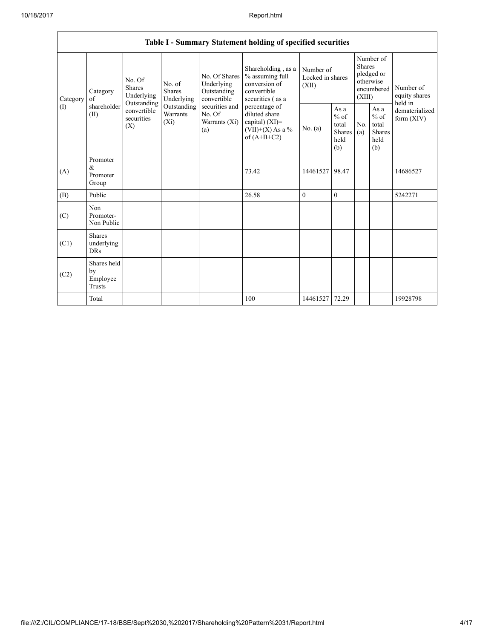|          | Table I - Summary Statement holding of specified securities |                                                                                                                                                                                                                                                                                                                                                                                                                                                               |           |                                                  |                    |                                                  |                                |                                                                               |  |                                       |
|----------|-------------------------------------------------------------|---------------------------------------------------------------------------------------------------------------------------------------------------------------------------------------------------------------------------------------------------------------------------------------------------------------------------------------------------------------------------------------------------------------------------------------------------------------|-----------|--------------------------------------------------|--------------------|--------------------------------------------------|--------------------------------|-------------------------------------------------------------------------------|--|---------------------------------------|
| Category | Category<br>of                                              | % assuming full<br>No. Of Shares<br>No. Of<br>Underlying<br>conversion of<br>No. of<br><b>Shares</b><br>Shares<br>Outstanding<br>convertible<br>Underlying<br>Underlying<br>convertible<br>securities (as a<br>Outstanding<br>securities and<br>Outstanding<br>percentage of<br>convertible<br><b>Warrants</b><br>No. Of<br>diluted share<br>securities<br>$(X_i)$<br>capital) $(XI)$ =<br>Warrants (Xi)<br>(X)<br>$(VII)+(X)$ As a %<br>(a)<br>of $(A+B+C2)$ |           |                                                  | Shareholding, as a | Number of<br>Locked in shares<br>(XII)           |                                | Number of<br><b>Shares</b><br>pledged or<br>otherwise<br>encumbered<br>(XIII) |  | Number of<br>equity shares<br>held in |
| (1)      | shareholder<br>(II)                                         |                                                                                                                                                                                                                                                                                                                                                                                                                                                               | No. $(a)$ | As a<br>$%$ of<br>total<br>Shares<br>held<br>(b) | No.<br>(a)         | As a<br>$%$ of<br>total<br>Shares<br>held<br>(b) | dematerialized<br>form $(XIV)$ |                                                                               |  |                                       |
| (A)      | Promoter<br>&<br>Promoter<br>Group                          |                                                                                                                                                                                                                                                                                                                                                                                                                                                               |           |                                                  | 73.42              | 14461527                                         | 98.47                          |                                                                               |  | 14686527                              |
| (B)      | Public                                                      |                                                                                                                                                                                                                                                                                                                                                                                                                                                               |           |                                                  | 26.58              | $\mathbf{0}$                                     | $\mathbf{0}$                   |                                                                               |  | 5242271                               |
| (C)      | Non<br>Promoter-<br>Non Public                              |                                                                                                                                                                                                                                                                                                                                                                                                                                                               |           |                                                  |                    |                                                  |                                |                                                                               |  |                                       |
| (C1)     | <b>Shares</b><br>underlying<br><b>DRs</b>                   |                                                                                                                                                                                                                                                                                                                                                                                                                                                               |           |                                                  |                    |                                                  |                                |                                                                               |  |                                       |
| (C2)     | Shares held<br>by<br>Employee<br><b>Trusts</b>              |                                                                                                                                                                                                                                                                                                                                                                                                                                                               |           |                                                  |                    |                                                  |                                |                                                                               |  |                                       |
|          | Total                                                       |                                                                                                                                                                                                                                                                                                                                                                                                                                                               |           |                                                  | 100                | 14461527                                         | 72.29                          |                                                                               |  | 19928798                              |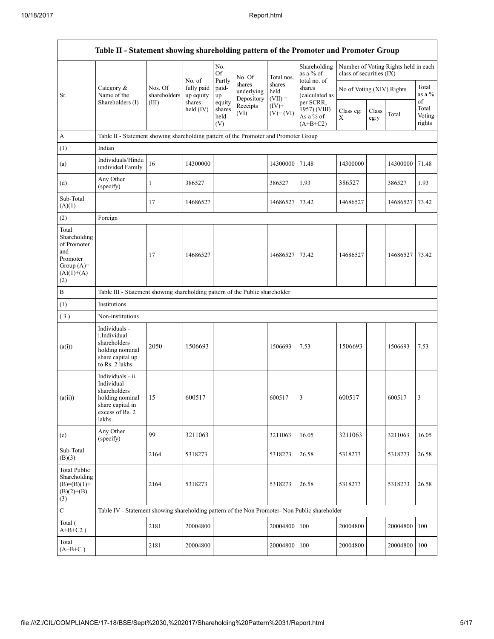|                                                                                                | Table II - Statement showing shareholding pattern of the Promoter and Promoter Group                                |                                                                              |                         |                                 |                                    |                             |                                                      |                           |               |                                      |                           |
|------------------------------------------------------------------------------------------------|---------------------------------------------------------------------------------------------------------------------|------------------------------------------------------------------------------|-------------------------|---------------------------------|------------------------------------|-----------------------------|------------------------------------------------------|---------------------------|---------------|--------------------------------------|---------------------------|
|                                                                                                |                                                                                                                     |                                                                              | No. of                  | No.<br>Of                       | No. Of                             | Total nos.                  | Shareholding<br>as a % of                            | class of securities (IX)  |               | Number of Voting Rights held in each |                           |
| Sr.                                                                                            | Category $\&$<br>Name of the                                                                                        | Nos. Of<br>shareholders                                                      | fully paid<br>up equity | Partly<br>paid-<br>up           | shares<br>underlying<br>Depository | shares<br>held<br>$(VII) =$ | total no. of<br>shares<br>(calculated as             | No of Voting (XIV) Rights |               |                                      | Total<br>as a %<br>of     |
|                                                                                                | Shareholders (I)                                                                                                    | (III)                                                                        | shares<br>held (IV)     | equity<br>shares<br>held<br>(V) | Receipts<br>(VI)                   | $(IV)$ +<br>$(V)+(VI)$      | per SCRR,<br>1957) (VIII)<br>As a % of<br>$(A+B+C2)$ | Class eg:<br>X            | Class<br>eg:y | Total                                | Total<br>Voting<br>rights |
| A                                                                                              | Table II - Statement showing shareholding pattern of the Promoter and Promoter Group                                |                                                                              |                         |                                 |                                    |                             |                                                      |                           |               |                                      |                           |
| (1)                                                                                            | Indian                                                                                                              |                                                                              |                         |                                 |                                    |                             |                                                      |                           |               |                                      |                           |
| (a)                                                                                            | Individuals/Hindu<br>undivided Family                                                                               | 16                                                                           | 14300000                |                                 |                                    | 14300000                    | 71.48                                                | 14300000                  |               | 14300000                             | 71.48                     |
| (d)                                                                                            | Any Other<br>(specify)                                                                                              | $\mathbf{1}$                                                                 | 386527                  |                                 |                                    | 386527                      | 1.93                                                 | 386527                    |               | 386527                               | 1.93                      |
| Sub-Total<br>(A)(1)                                                                            |                                                                                                                     | 17                                                                           | 14686527                |                                 |                                    | 14686527                    | 73.42                                                | 14686527                  |               | 14686527                             | 73.42                     |
| (2)                                                                                            | Foreign                                                                                                             |                                                                              |                         |                                 |                                    |                             |                                                      |                           |               |                                      |                           |
| Total<br>Shareholding<br>of Promoter<br>and<br>Promoter<br>Group $(A)=$<br>$(A)(1)+(A)$<br>(2) |                                                                                                                     | 17                                                                           | 14686527                |                                 |                                    | 14686527                    | 73.42                                                | 14686527                  |               | 14686527                             | 73.42                     |
| $\, {\bf B}$                                                                                   |                                                                                                                     | Table III - Statement showing shareholding pattern of the Public shareholder |                         |                                 |                                    |                             |                                                      |                           |               |                                      |                           |
| (1)                                                                                            | Institutions                                                                                                        |                                                                              |                         |                                 |                                    |                             |                                                      |                           |               |                                      |                           |
| (3)                                                                                            | Non-institutions                                                                                                    |                                                                              |                         |                                 |                                    |                             |                                                      |                           |               |                                      |                           |
| (a(i))                                                                                         | Individuals -<br>i.Individual<br>shareholders<br>holding nominal<br>share capital up<br>to Rs. 2 lakhs.             | 2050                                                                         | 1506693                 |                                 |                                    | 1506693                     | 7.53                                                 | 1506693                   |               | 1506693                              | 7.53                      |
| (a(ii))                                                                                        | Individuals - ii.<br>Individual<br>shareholders<br>holding nominal<br>share capital in<br>excess of Rs. 2<br>lakhs. | 15                                                                           | 600517                  |                                 |                                    | 600517                      | 3                                                    | 600517                    |               | 600517                               | 3                         |
| (e)                                                                                            | Any Other<br>(specify)                                                                                              | 99                                                                           | 3211063                 |                                 |                                    | 3211063                     | 16.05                                                | 3211063                   |               | 3211063                              | 16.05                     |
| Sub-Total<br>(B)(3)                                                                            |                                                                                                                     | 2164                                                                         | 5318273                 |                                 |                                    | 5318273                     | 26.58                                                | 5318273                   |               | 5318273                              | 26.58                     |
| <b>Total Public</b><br>Shareholding<br>$(B)=(B)(1)+$<br>$(B)(2)+(B)$<br>(3)                    |                                                                                                                     | 2164                                                                         | 5318273                 |                                 |                                    | 5318273                     | 26.58                                                | 5318273                   |               | 5318273                              | 26.58                     |
| $\mathbf C$                                                                                    | Table IV - Statement showing shareholding pattern of the Non Promoter- Non Public shareholder                       |                                                                              |                         |                                 |                                    |                             |                                                      |                           |               |                                      |                           |
| Total (<br>$A+B+C2$ )                                                                          |                                                                                                                     | 2181                                                                         | 20004800                |                                 |                                    | 20004800                    | 100                                                  | 20004800                  |               | 20004800                             | 100                       |
| Total<br>$(A+B+C)$                                                                             |                                                                                                                     | 2181                                                                         | 20004800                |                                 |                                    | 20004800                    | 100                                                  | 20004800                  |               | 20004800 100                         |                           |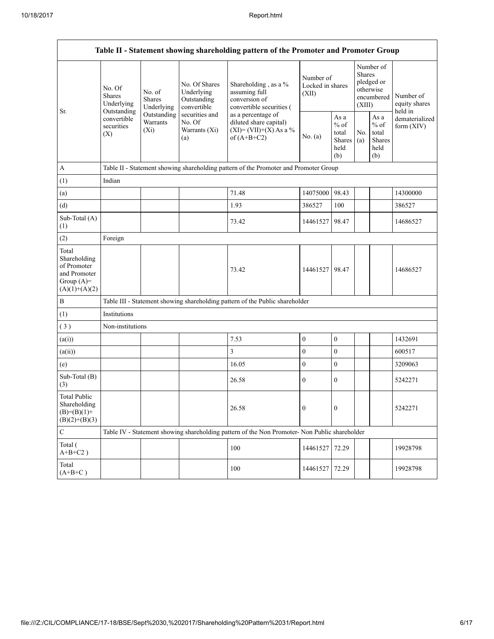|                                                                                         |                                                                                          |                                                                                        |                                                           | Table II - Statement showing shareholding pattern of the Promoter and Promoter Group          |                                        |                                                  |                                                                        |                                                             |                                       |  |
|-----------------------------------------------------------------------------------------|------------------------------------------------------------------------------------------|----------------------------------------------------------------------------------------|-----------------------------------------------------------|-----------------------------------------------------------------------------------------------|----------------------------------------|--------------------------------------------------|------------------------------------------------------------------------|-------------------------------------------------------------|---------------------------------------|--|
| Sr.                                                                                     | No. Of<br><b>Shares</b><br>Underlying<br>Outstanding<br>convertible<br>securities<br>(X) | No. of<br><b>Shares</b><br>Underlying                                                  | No. Of Shares<br>Underlying<br>Outstanding<br>convertible | Shareholding, as a %<br>assuming full<br>conversion of<br>convertible securities (            | Number of<br>Locked in shares<br>(XII) |                                                  | Number of<br>Shares<br>pledged or<br>otherwise<br>encumbered<br>(XIII) |                                                             | Number of<br>equity shares<br>held in |  |
|                                                                                         |                                                                                          | Outstanding<br>securities and<br>Warrants<br>No. Of<br>Warrants (Xi)<br>$(X_i)$<br>(a) |                                                           | as a percentage of<br>diluted share capital)<br>$(XI) = (VII)+(X) As a %$<br>of $(A+B+C2)$    | No. $(a)$                              | As a<br>$%$ of<br>total<br>Shares<br>held<br>(b) | No.<br>(a)                                                             | As $\mathbf{a}$<br>$%$ of<br>total<br>Shares<br>held<br>(b) | dematerialized<br>form $(XIV)$        |  |
| $\mathbf{A}$                                                                            | Table II - Statement showing shareholding pattern of the Promoter and Promoter Group     |                                                                                        |                                                           |                                                                                               |                                        |                                                  |                                                                        |                                                             |                                       |  |
| (1)                                                                                     | Indian                                                                                   |                                                                                        |                                                           |                                                                                               |                                        |                                                  |                                                                        |                                                             |                                       |  |
| (a)                                                                                     |                                                                                          |                                                                                        |                                                           | 71.48                                                                                         | 14075000                               | 98.43                                            |                                                                        |                                                             | 14300000                              |  |
| (d)                                                                                     |                                                                                          |                                                                                        |                                                           | 1.93                                                                                          | 386527                                 | 100                                              |                                                                        |                                                             | 386527                                |  |
| Sub-Total (A)<br>(1)                                                                    |                                                                                          |                                                                                        |                                                           | 73.42                                                                                         | 14461527                               | 98.47                                            |                                                                        |                                                             | 14686527                              |  |
| (2)                                                                                     | Foreign                                                                                  |                                                                                        |                                                           |                                                                                               |                                        |                                                  |                                                                        |                                                             |                                       |  |
| Total<br>Shareholding<br>of Promoter<br>and Promoter<br>Group $(A)=$<br>$(A)(1)+(A)(2)$ |                                                                                          |                                                                                        |                                                           | 73.42                                                                                         | 14461527 98.47                         |                                                  |                                                                        |                                                             | 14686527                              |  |
| $\, {\bf B}$                                                                            |                                                                                          |                                                                                        |                                                           | Table III - Statement showing shareholding pattern of the Public shareholder                  |                                        |                                                  |                                                                        |                                                             |                                       |  |
| (1)                                                                                     | Institutions                                                                             |                                                                                        |                                                           |                                                                                               |                                        |                                                  |                                                                        |                                                             |                                       |  |
| (3)                                                                                     | Non-institutions                                                                         |                                                                                        |                                                           |                                                                                               |                                        |                                                  |                                                                        |                                                             |                                       |  |
| (a(i))                                                                                  |                                                                                          |                                                                                        |                                                           | 7.53                                                                                          | $\boldsymbol{0}$                       | $\boldsymbol{0}$                                 |                                                                        |                                                             | 1432691                               |  |
| (a(ii))                                                                                 |                                                                                          |                                                                                        |                                                           | 3                                                                                             | $\boldsymbol{0}$                       | $\mathbf{0}$                                     |                                                                        |                                                             | 600517                                |  |
| (e)                                                                                     |                                                                                          |                                                                                        |                                                           | 16.05                                                                                         | $\boldsymbol{0}$                       | $\boldsymbol{0}$                                 |                                                                        |                                                             | 3209063                               |  |
| Sub-Total (B)<br>(3)                                                                    |                                                                                          |                                                                                        |                                                           | 26.58                                                                                         | $\mathbf{0}$                           | $\boldsymbol{0}$                                 |                                                                        |                                                             | 5242271                               |  |
| <b>Total Public</b><br>Shareholding<br>$(B)=(B)(1)+$<br>$(B)(2)+(B)(3)$                 |                                                                                          |                                                                                        |                                                           | 26.58                                                                                         | $\boldsymbol{0}$                       | $\boldsymbol{0}$                                 |                                                                        |                                                             | 5242271                               |  |
| $\mathbf C$                                                                             |                                                                                          |                                                                                        |                                                           | Table IV - Statement showing shareholding pattern of the Non Promoter- Non Public shareholder |                                        |                                                  |                                                                        |                                                             |                                       |  |
| Total (<br>$A+B+C2$ )                                                                   |                                                                                          |                                                                                        |                                                           | 100                                                                                           | 14461527                               | 72.29                                            |                                                                        |                                                             | 19928798                              |  |
| Total<br>$(A+B+C)$                                                                      |                                                                                          |                                                                                        |                                                           | 100                                                                                           | 14461527                               | 72.29                                            |                                                                        |                                                             | 19928798                              |  |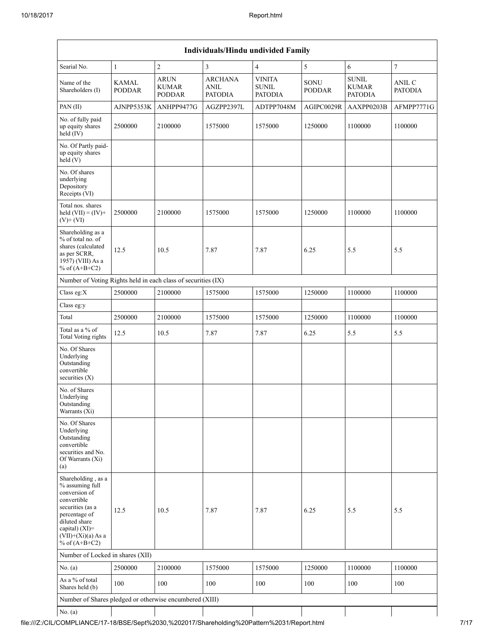| <b>Individuals/Hindu undivided Family</b>                                                                                                                                                |                        |                                              |                                          |                                          |                       |                                         |                          |  |  |  |
|------------------------------------------------------------------------------------------------------------------------------------------------------------------------------------------|------------------------|----------------------------------------------|------------------------------------------|------------------------------------------|-----------------------|-----------------------------------------|--------------------------|--|--|--|
| Searial No.                                                                                                                                                                              | $\mathbf{1}$           | $\overline{c}$                               | 3                                        | $\overline{4}$                           | 5                     | 6                                       | $\boldsymbol{7}$         |  |  |  |
| Name of the<br>Shareholders (I)                                                                                                                                                          | KAMAL<br><b>PODDAR</b> | <b>ARUN</b><br><b>KUMAR</b><br><b>PODDAR</b> | <b>ARCHANA</b><br>ANIL<br><b>PATODIA</b> | <b>VINITA</b><br>SUNIL<br><b>PATODIA</b> | SONU<br><b>PODDAR</b> | <b>SUNIL</b><br>KUMAR<br><b>PATODIA</b> | ANIL C<br><b>PATODIA</b> |  |  |  |
| PAN (II)                                                                                                                                                                                 | AJNPP5353K             | ANHPP9477G                                   | AGZPP2397L                               | ADTPP7048M                               | AGIPC0029R            | AAXPP0203B                              | AFMPP7771G               |  |  |  |
| No. of fully paid<br>up equity shares<br>held (IV)                                                                                                                                       | 2500000                | 2100000                                      | 1575000                                  | 1575000                                  | 1250000               | 1100000                                 | 1100000                  |  |  |  |
| No. Of Partly paid-<br>up equity shares<br>held (V)                                                                                                                                      |                        |                                              |                                          |                                          |                       |                                         |                          |  |  |  |
| No. Of shares<br>underlying<br>Depository<br>Receipts (VI)                                                                                                                               |                        |                                              |                                          |                                          |                       |                                         |                          |  |  |  |
| Total nos. shares<br>held $(VII) = (IV) +$<br>$(V)$ + $(VI)$                                                                                                                             | 2500000                | 2100000                                      | 1575000                                  | 1575000                                  | 1250000               | 1100000                                 | 1100000                  |  |  |  |
| Shareholding as a<br>% of total no. of<br>shares (calculated<br>as per SCRR,<br>1957) (VIII) As a<br>% of $(A+B+C2)$                                                                     | 12.5                   | 10.5                                         | 7.87                                     | 7.87                                     | 6.25                  | 5.5                                     | 5.5                      |  |  |  |
| Number of Voting Rights held in each class of securities (IX)                                                                                                                            |                        |                                              |                                          |                                          |                       |                                         |                          |  |  |  |
| Class eg:X                                                                                                                                                                               | 2500000                | 2100000                                      | 1575000                                  | 1575000                                  | 1250000               | 1100000                                 | 1100000                  |  |  |  |
| Class eg:y                                                                                                                                                                               |                        |                                              |                                          |                                          |                       |                                         |                          |  |  |  |
| Total                                                                                                                                                                                    | 2500000                | 2100000                                      | 1575000                                  | 1575000                                  | 1250000               | 1100000                                 | 1100000                  |  |  |  |
| Total as a % of<br><b>Total Voting rights</b>                                                                                                                                            | 12.5                   | 10.5                                         | 7.87                                     | 7.87                                     | 6.25                  | 5.5                                     | 5.5                      |  |  |  |
| No. Of Shares<br>Underlying<br>Outstanding<br>convertible<br>securities $(X)$                                                                                                            |                        |                                              |                                          |                                          |                       |                                         |                          |  |  |  |
| No. of Shares<br>Underlying<br>Outstanding<br>Warrants (Xi)                                                                                                                              |                        |                                              |                                          |                                          |                       |                                         |                          |  |  |  |
| No. Of Shares<br>Underlying<br>Outstanding<br>convertible<br>securities and No.<br>Of Warrants (Xi)<br>(a)                                                                               |                        |                                              |                                          |                                          |                       |                                         |                          |  |  |  |
| Shareholding, as a<br>% assuming full<br>conversion of<br>convertible<br>securities (as a<br>percentage of<br>diluted share<br>capital) (XI)=<br>$(VII)+(Xi)(a)$ As a<br>% of $(A+B+C2)$ | 12.5                   | 10.5                                         | 7.87                                     | 7.87                                     | 6.25                  | 5.5                                     | 5.5                      |  |  |  |
| Number of Locked in shares (XII)                                                                                                                                                         |                        |                                              |                                          |                                          |                       |                                         |                          |  |  |  |
| No. (a)                                                                                                                                                                                  | 2500000                | 2100000                                      | 1575000                                  | 1575000                                  | 1250000               | 1100000                                 | 1100000                  |  |  |  |
| As a % of total<br>Shares held (b)                                                                                                                                                       | 100                    | 100                                          | 100                                      | 100                                      | 100                   | 100                                     | 100                      |  |  |  |
| Number of Shares pledged or otherwise encumbered (XIII)                                                                                                                                  |                        |                                              |                                          |                                          |                       |                                         |                          |  |  |  |
| No. $(a)$                                                                                                                                                                                |                        |                                              |                                          |                                          |                       |                                         |                          |  |  |  |

file:///Z:/CIL/COMPLIANCE/17-18/BSE/Sept%2030,%202017/Shareholding%20Pattern%2031/Report.html 7/17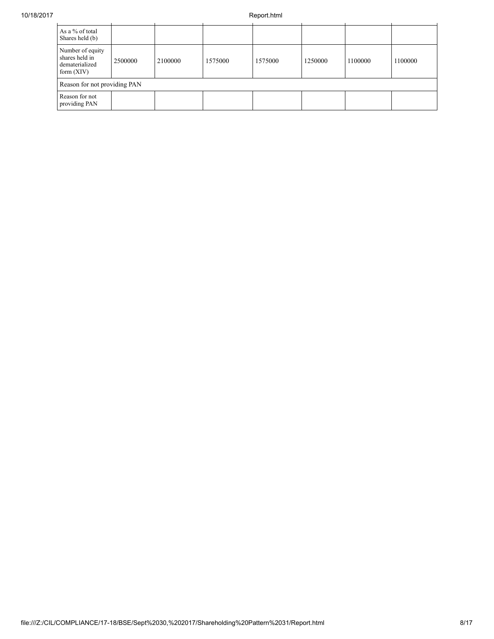| As a % of total<br>Shares held (b)                                   |         |         |         |         |         |         |         |  |
|----------------------------------------------------------------------|---------|---------|---------|---------|---------|---------|---------|--|
| Number of equity<br>shares held in<br>dematerialized<br>form $(XIV)$ | 2500000 | 2100000 | 1575000 | 1575000 | 1250000 | 1100000 | 1100000 |  |
| Reason for not providing PAN                                         |         |         |         |         |         |         |         |  |
| Reason for not<br>providing PAN                                      |         |         |         |         |         |         |         |  |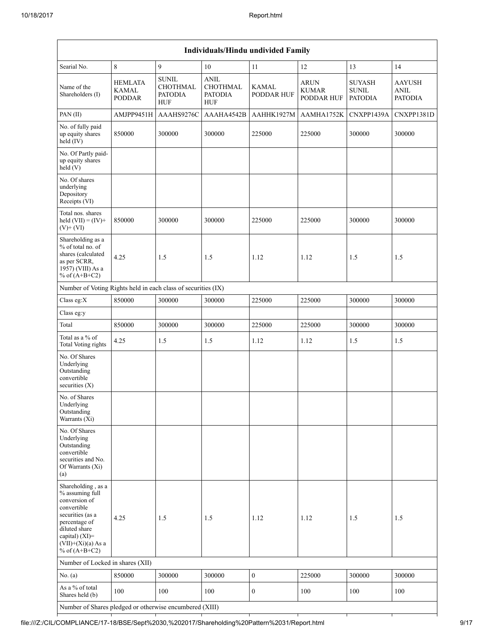| Individuals/Hindu undivided Family                                                                                                                                                          |                                          |                                                                 |                                                                |                     |                                           |                                                 |                                         |  |  |  |
|---------------------------------------------------------------------------------------------------------------------------------------------------------------------------------------------|------------------------------------------|-----------------------------------------------------------------|----------------------------------------------------------------|---------------------|-------------------------------------------|-------------------------------------------------|-----------------------------------------|--|--|--|
| Searial No.                                                                                                                                                                                 | 8                                        | 9                                                               | 10                                                             | 11                  | 12                                        | 13                                              | 14                                      |  |  |  |
| Name of the<br>Shareholders (I)                                                                                                                                                             | <b>HEMLATA</b><br>KAMAL<br><b>PODDAR</b> | <b>SUNIL</b><br><b>CHOTHMAL</b><br><b>PATODIA</b><br><b>HUF</b> | <b>ANIL</b><br><b>CHOTHMAL</b><br><b>PATODIA</b><br><b>HUF</b> | KAMAL<br>PODDAR HUF | <b>ARUN</b><br><b>KUMAR</b><br>PODDAR HUF | <b>SUYASH</b><br><b>SUNIL</b><br><b>PATODIA</b> | AAYUSH<br><b>ANIL</b><br><b>PATODIA</b> |  |  |  |
| PAN (II)                                                                                                                                                                                    | AMJPP9451H                               | AAAHS9276C                                                      | AAAHA4542B                                                     | AAHHK1927M          | AAMHA1752K                                | CNXPP1439A                                      | CNXPP1381D                              |  |  |  |
| No. of fully paid<br>up equity shares<br>held (IV)                                                                                                                                          | 850000                                   | 300000                                                          | 300000                                                         | 225000              | 225000                                    | 300000                                          | 300000                                  |  |  |  |
| No. Of Partly paid-<br>up equity shares<br>held(V)                                                                                                                                          |                                          |                                                                 |                                                                |                     |                                           |                                                 |                                         |  |  |  |
| No. Of shares<br>underlying<br>Depository<br>Receipts (VI)                                                                                                                                  |                                          |                                                                 |                                                                |                     |                                           |                                                 |                                         |  |  |  |
| Total nos. shares<br>held $(VII) = (IV) +$<br>$(V)$ + $(VI)$                                                                                                                                | 850000                                   | 300000                                                          | 300000                                                         | 225000              | 225000                                    | 300000                                          | 300000                                  |  |  |  |
| Shareholding as a<br>% of total no. of<br>shares (calculated<br>as per SCRR,<br>1957) (VIII) As a<br>% of $(A+B+C2)$                                                                        | 4.25                                     | 1.5                                                             | 1.5                                                            | 1.12                | 1.12                                      | 1.5                                             | 1.5                                     |  |  |  |
| Number of Voting Rights held in each class of securities (IX)                                                                                                                               |                                          |                                                                 |                                                                |                     |                                           |                                                 |                                         |  |  |  |
| Class eg:X                                                                                                                                                                                  | 850000                                   | 300000                                                          | 300000                                                         | 225000              | 225000                                    | 300000                                          | 300000                                  |  |  |  |
| Class eg:y                                                                                                                                                                                  |                                          |                                                                 |                                                                |                     |                                           |                                                 |                                         |  |  |  |
| Total                                                                                                                                                                                       | 850000                                   | 300000                                                          | 300000                                                         | 225000              | 225000                                    | 300000                                          | 300000                                  |  |  |  |
| Total as a % of<br><b>Total Voting rights</b>                                                                                                                                               | 4.25                                     | 1.5                                                             | 1.5                                                            | 1.12                | 1.12                                      | 1.5                                             | 1.5                                     |  |  |  |
| No. Of Shares<br>Underlying<br>Outstanding<br>convertible<br>securities $(X)$                                                                                                               |                                          |                                                                 |                                                                |                     |                                           |                                                 |                                         |  |  |  |
| No. of Shares<br>Underlying<br>Outstanding<br>Warrants (Xi)                                                                                                                                 |                                          |                                                                 |                                                                |                     |                                           |                                                 |                                         |  |  |  |
| No. Of Shares<br>Underlying<br>Outstanding<br>convertible<br>securities and No.<br>Of Warrants (Xi)<br>(a)                                                                                  |                                          |                                                                 |                                                                |                     |                                           |                                                 |                                         |  |  |  |
| Shareholding, as a<br>% assuming full<br>conversion of<br>convertible<br>securities (as a<br>percentage of<br>diluted share<br>capital) $(XI)$ =<br>$(VII)+(Xi)(a)$ As a<br>% of $(A+B+C2)$ | 4.25                                     | 1.5                                                             | 1.5                                                            | 1.12                | 1.12                                      | 1.5                                             | 1.5                                     |  |  |  |
| Number of Locked in shares (XII)                                                                                                                                                            |                                          |                                                                 |                                                                |                     |                                           |                                                 |                                         |  |  |  |
| No. (a)                                                                                                                                                                                     | 850000                                   | 300000                                                          | 300000                                                         | $\boldsymbol{0}$    | 225000                                    | 300000                                          | 300000                                  |  |  |  |
| As a % of total<br>Shares held (b)                                                                                                                                                          | 100                                      | 100                                                             | 100                                                            | $\mathbf{0}$        | 100                                       | 100                                             | 100                                     |  |  |  |
| Number of Shares pledged or otherwise encumbered (XIII)                                                                                                                                     |                                          |                                                                 |                                                                |                     |                                           |                                                 |                                         |  |  |  |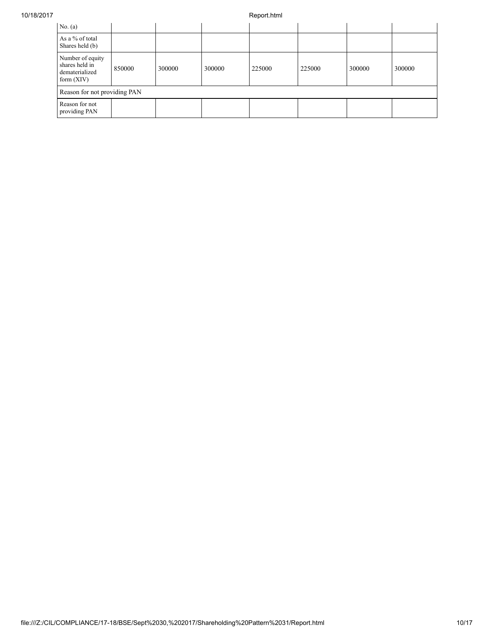## 10/18/2017 Report.html

| No. $(a)$                                                            |        |        |        |        |        |        |        |  |
|----------------------------------------------------------------------|--------|--------|--------|--------|--------|--------|--------|--|
| As a % of total<br>Shares held (b)                                   |        |        |        |        |        |        |        |  |
| Number of equity<br>shares held in<br>dematerialized<br>form $(XIV)$ | 850000 | 300000 | 300000 | 225000 | 225000 | 300000 | 300000 |  |
| Reason for not providing PAN                                         |        |        |        |        |        |        |        |  |
| Reason for not<br>providing PAN                                      |        |        |        |        |        |        |        |  |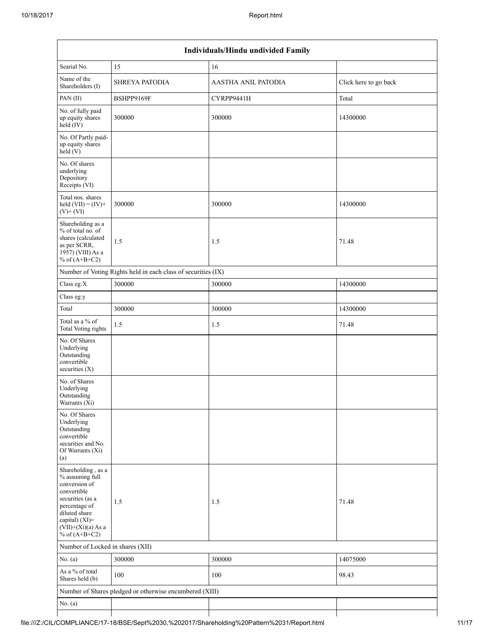| Individuals/Hindu undivided Family                                                                                                                                                       |                                                         |                            |                       |  |  |  |  |  |  |
|------------------------------------------------------------------------------------------------------------------------------------------------------------------------------------------|---------------------------------------------------------|----------------------------|-----------------------|--|--|--|--|--|--|
| Searial No.                                                                                                                                                                              | 15                                                      | 16                         |                       |  |  |  |  |  |  |
| Name of the<br>Shareholders (I)                                                                                                                                                          | <b>SHREYA PATODIA</b>                                   | <b>AASTHA ANIL PATODIA</b> | Click here to go back |  |  |  |  |  |  |
| PAN(II)                                                                                                                                                                                  | BSHPP9169F                                              | CYRPP9441H                 | Total                 |  |  |  |  |  |  |
| No. of fully paid<br>up equity shares<br>held (IV)                                                                                                                                       | 300000                                                  | 300000                     | 14300000              |  |  |  |  |  |  |
| No. Of Partly paid-<br>up equity shares<br>held(V)                                                                                                                                       |                                                         |                            |                       |  |  |  |  |  |  |
| No. Of shares<br>underlying<br>Depository<br>Receipts (VI)                                                                                                                               |                                                         |                            |                       |  |  |  |  |  |  |
| Total nos. shares<br>held $(VII) = (IV) +$<br>$(V)$ + $(VI)$                                                                                                                             | 300000                                                  | 300000                     | 14300000              |  |  |  |  |  |  |
| Shareholding as a<br>% of total no. of<br>shares (calculated<br>as per SCRR,<br>1957) (VIII) As a<br>% of $(A+B+C2)$                                                                     | 1.5                                                     | 1.5                        | 71.48                 |  |  |  |  |  |  |
| Number of Voting Rights held in each class of securities (IX)                                                                                                                            |                                                         |                            |                       |  |  |  |  |  |  |
| Class eg:X                                                                                                                                                                               | 300000                                                  | 300000                     | 14300000              |  |  |  |  |  |  |
| Class eg:y                                                                                                                                                                               |                                                         |                            |                       |  |  |  |  |  |  |
| Total                                                                                                                                                                                    | 300000                                                  | 300000                     | 14300000              |  |  |  |  |  |  |
| Total as a % of<br><b>Total Voting rights</b>                                                                                                                                            | 1.5                                                     | 1.5                        | 71.48                 |  |  |  |  |  |  |
| No. Of Shares<br>Underlying<br>Outstanding<br>convertible<br>securities $(X)$                                                                                                            |                                                         |                            |                       |  |  |  |  |  |  |
| No. of Shares<br>Underlying<br>Outstanding<br>Warrants $(X_1)$                                                                                                                           |                                                         |                            |                       |  |  |  |  |  |  |
| No. Of Shares<br>Underlying<br>Outstanding<br>convertible<br>securities and No.<br>Of Warrants (Xi)<br>(a)                                                                               |                                                         |                            |                       |  |  |  |  |  |  |
| Shareholding, as a<br>% assuming full<br>conversion of<br>convertible<br>securities (as a<br>percentage of<br>diluted share<br>capital) (XI)=<br>$(VII)+(Xi)(a)$ As a<br>% of $(A+B+C2)$ | 1.5                                                     | 1.5                        | 71.48                 |  |  |  |  |  |  |
| Number of Locked in shares (XII)                                                                                                                                                         |                                                         |                            |                       |  |  |  |  |  |  |
| No. $(a)$                                                                                                                                                                                | 300000                                                  | 300000                     | 14075000              |  |  |  |  |  |  |
| As a % of total<br>Shares held (b)                                                                                                                                                       | 100                                                     | 100                        | 98.43                 |  |  |  |  |  |  |
|                                                                                                                                                                                          | Number of Shares pledged or otherwise encumbered (XIII) |                            |                       |  |  |  |  |  |  |
| No. (a)                                                                                                                                                                                  |                                                         |                            |                       |  |  |  |  |  |  |
|                                                                                                                                                                                          |                                                         |                            |                       |  |  |  |  |  |  |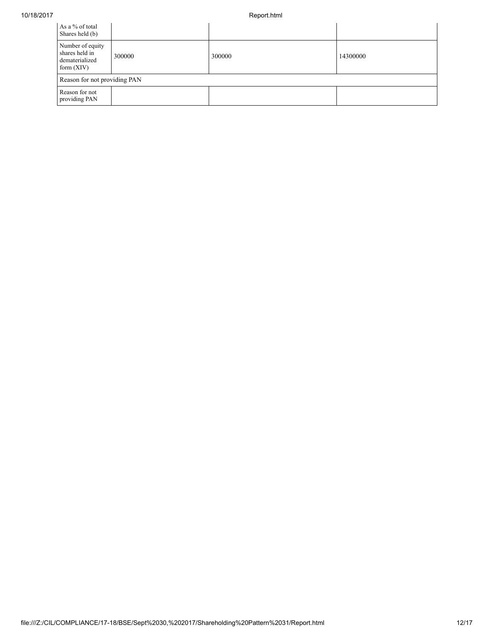## 10/18/2017 Report.html

| As a % of total<br>Shares held (b)                                   |                              |        |          |  |  |  |  |  |
|----------------------------------------------------------------------|------------------------------|--------|----------|--|--|--|--|--|
| Number of equity<br>shares held in<br>dematerialized<br>form $(XIV)$ | 300000                       | 300000 | 14300000 |  |  |  |  |  |
|                                                                      | Reason for not providing PAN |        |          |  |  |  |  |  |
| Reason for not<br>providing PAN                                      |                              |        |          |  |  |  |  |  |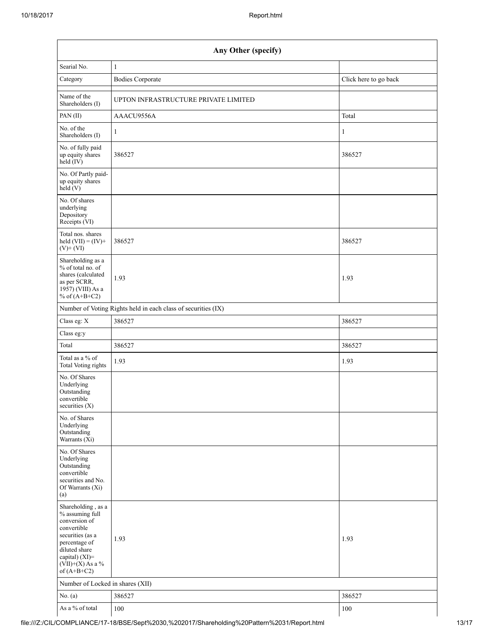| Any Other (specify)                                                                                                                                                                  |                                                               |                       |  |  |  |
|--------------------------------------------------------------------------------------------------------------------------------------------------------------------------------------|---------------------------------------------------------------|-----------------------|--|--|--|
| Searial No.                                                                                                                                                                          | $\mathbf{1}$                                                  |                       |  |  |  |
| Category                                                                                                                                                                             | <b>Bodies Corporate</b>                                       | Click here to go back |  |  |  |
| Name of the<br>Shareholders (I)                                                                                                                                                      | UPTON INFRASTRUCTURE PRIVATE LIMITED                          |                       |  |  |  |
| PAN(II)                                                                                                                                                                              | AAACU9556A                                                    | Total                 |  |  |  |
| No. of the<br>Shareholders (I)                                                                                                                                                       | 1                                                             | 1                     |  |  |  |
| No. of fully paid<br>up equity shares<br>held (IV)                                                                                                                                   | 386527                                                        | 386527                |  |  |  |
| No. Of Partly paid-<br>up equity shares<br>held(V)                                                                                                                                   |                                                               |                       |  |  |  |
| No. Of shares<br>underlying<br>Depository<br>Receipts (VI)                                                                                                                           |                                                               |                       |  |  |  |
| Total nos. shares<br>held $(VII) = (IV) +$<br>$(V)$ + $(VI)$                                                                                                                         | 386527                                                        | 386527                |  |  |  |
| Shareholding as a<br>% of total no. of<br>shares (calculated<br>as per SCRR,<br>1957) (VIII) As a<br>% of $(A+B+C2)$                                                                 | 1.93                                                          | 1.93                  |  |  |  |
|                                                                                                                                                                                      | Number of Voting Rights held in each class of securities (IX) |                       |  |  |  |
| Class eg: X                                                                                                                                                                          | 386527                                                        | 386527                |  |  |  |
| Class eg:y                                                                                                                                                                           |                                                               |                       |  |  |  |
| Total                                                                                                                                                                                | 386527                                                        | 386527                |  |  |  |
| Total as a % of<br>Total Voting rights                                                                                                                                               | 1.93                                                          | 1.93                  |  |  |  |
| No. Of Shares<br>Underlying<br>Outstanding<br>convertible<br>securities $(X)$                                                                                                        |                                                               |                       |  |  |  |
| No. of Shares<br>Underlying<br>Outstanding<br>Warrants (Xi)                                                                                                                          |                                                               |                       |  |  |  |
| No. Of Shares<br>Underlying<br>Outstanding<br>convertible<br>securities and No.<br>Of Warrants (Xi)<br>(a)                                                                           |                                                               |                       |  |  |  |
| Shareholding, as a<br>% assuming full<br>conversion of<br>convertible<br>securities (as a<br>percentage of<br>diluted share<br>capital) (XI)=<br>$(VII)+(X)$ As a %<br>of $(A+B+C2)$ | 1.93                                                          | 1.93                  |  |  |  |
| Number of Locked in shares (XII)                                                                                                                                                     |                                                               |                       |  |  |  |
| No. $(a)$                                                                                                                                                                            | 386527                                                        | 386527                |  |  |  |
| As a % of total                                                                                                                                                                      | 100                                                           | 100                   |  |  |  |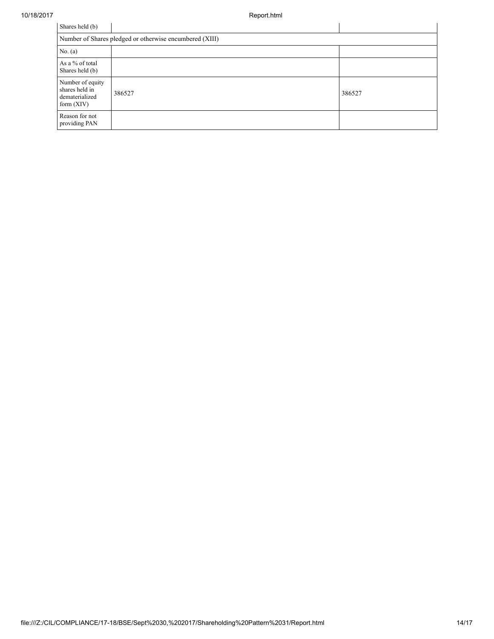| Shares held (b)                                                      |        |        |  |  |  |
|----------------------------------------------------------------------|--------|--------|--|--|--|
| Number of Shares pledged or otherwise encumbered (XIII)              |        |        |  |  |  |
| No. (a)                                                              |        |        |  |  |  |
| As a % of total<br>Shares held (b)                                   |        |        |  |  |  |
| Number of equity<br>shares held in<br>dematerialized<br>form $(XIV)$ | 386527 | 386527 |  |  |  |
| Reason for not<br>providing PAN                                      |        |        |  |  |  |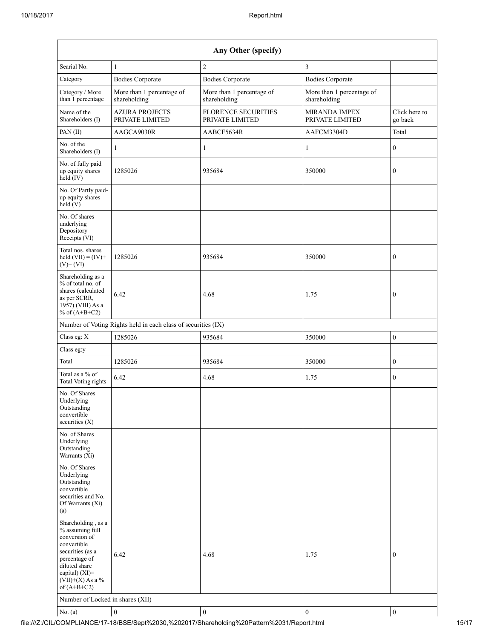| Any Other (specify)                                                                                                                                                                  |                                                               |                                               |                                           |                          |  |  |
|--------------------------------------------------------------------------------------------------------------------------------------------------------------------------------------|---------------------------------------------------------------|-----------------------------------------------|-------------------------------------------|--------------------------|--|--|
| Searial No.                                                                                                                                                                          | $\mathbf{1}$                                                  | $\sqrt{2}$                                    | $\overline{3}$                            |                          |  |  |
| Category                                                                                                                                                                             | <b>Bodies Corporate</b>                                       | <b>Bodies Corporate</b>                       | <b>Bodies Corporate</b>                   |                          |  |  |
| Category / More<br>than 1 percentage                                                                                                                                                 | More than 1 percentage of<br>shareholding                     | More than 1 percentage of<br>shareholding     | More than 1 percentage of<br>shareholding |                          |  |  |
| Name of the<br>Shareholders (I)                                                                                                                                                      | <b>AZURA PROJECTS</b><br>PRIVATE LIMITED                      | <b>FLORENCE SECURITIES</b><br>PRIVATE LIMITED | MIRANDA IMPEX<br>PRIVATE LIMITED          | Click here to<br>go back |  |  |
| PAN (II)                                                                                                                                                                             | AAGCA9030R                                                    | AABCF5634R                                    | AAFCM3304D                                | Total                    |  |  |
| No. of the<br>Shareholders (I)                                                                                                                                                       | 1                                                             | 1                                             | 1                                         | $\boldsymbol{0}$         |  |  |
| No. of fully paid<br>up equity shares<br>$\text{held}(\text{IV})$                                                                                                                    | 1285026                                                       | 935684                                        | 350000                                    | $\boldsymbol{0}$         |  |  |
| No. Of Partly paid-<br>up equity shares<br>held (V)                                                                                                                                  |                                                               |                                               |                                           |                          |  |  |
| No. Of shares<br>underlying<br>Depository<br>Receipts (VI)                                                                                                                           |                                                               |                                               |                                           |                          |  |  |
| Total nos. shares<br>held $(VII) = (IV) +$<br>$(V)$ + $(VI)$                                                                                                                         | 1285026                                                       | 935684                                        | 350000                                    | $\mathbf{0}$             |  |  |
| Shareholding as a<br>% of total no. of<br>shares (calculated<br>as per SCRR,<br>1957) (VIII) As a<br>% of $(A+B+C2)$                                                                 | 6.42                                                          | 4.68                                          | 1.75                                      | $\boldsymbol{0}$         |  |  |
|                                                                                                                                                                                      | Number of Voting Rights held in each class of securities (IX) |                                               |                                           |                          |  |  |
| Class eg: X                                                                                                                                                                          | 1285026                                                       | 935684                                        | 350000                                    | $\boldsymbol{0}$         |  |  |
| Class eg:y                                                                                                                                                                           |                                                               |                                               |                                           |                          |  |  |
| Total                                                                                                                                                                                | 1285026                                                       | 935684                                        | 350000                                    | $\boldsymbol{0}$         |  |  |
| Total as a % of<br><b>Total Voting rights</b>                                                                                                                                        | 6.42                                                          | 4.68                                          | 1.75                                      | $\boldsymbol{0}$         |  |  |
| No. Of Shares<br>Underlying<br>Outstanding<br>convertible<br>securities (X)                                                                                                          |                                                               |                                               |                                           |                          |  |  |
| No. of Shares<br>Underlying<br>Outstanding<br>Warrants (Xi)                                                                                                                          |                                                               |                                               |                                           |                          |  |  |
| No. Of Shares<br>Underlying<br>Outstanding<br>convertible<br>securities and No.<br>Of Warrants (Xi)<br>(a)                                                                           |                                                               |                                               |                                           |                          |  |  |
| Shareholding, as a<br>% assuming full<br>conversion of<br>convertible<br>securities (as a<br>percentage of<br>diluted share<br>capital) (XI)=<br>$(VII)+(X)$ As a %<br>of $(A+B+C2)$ | 6.42                                                          | 4.68                                          | 1.75                                      | $\boldsymbol{0}$         |  |  |
| Number of Locked in shares (XII)                                                                                                                                                     |                                                               |                                               |                                           |                          |  |  |
| No. (a)                                                                                                                                                                              | $\boldsymbol{0}$                                              | $\boldsymbol{0}$                              | $\boldsymbol{0}$                          | $\boldsymbol{0}$         |  |  |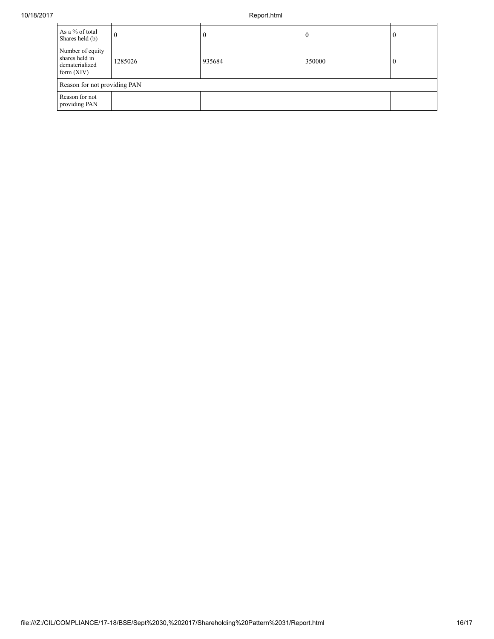| As a % of total<br>Shares held (b)                                   | 0       |        | 0      | υ                |  |  |
|----------------------------------------------------------------------|---------|--------|--------|------------------|--|--|
| Number of equity<br>shares held in<br>dematerialized<br>form $(XIV)$ | 1285026 | 935684 | 350000 | $\left( \right)$ |  |  |
| Reason for not providing PAN                                         |         |        |        |                  |  |  |
| Reason for not<br>providing PAN                                      |         |        |        |                  |  |  |